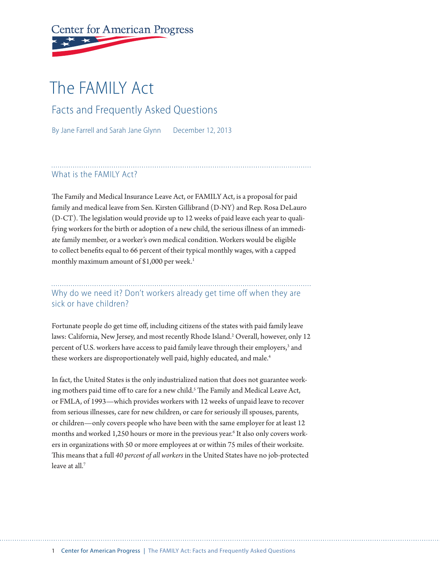# **Center for American Progress**

## The FAMILY Act

Facts and Frequently Asked Questions

By Jane Farrell and Sarah Jane Glynn December 12, 2013

#### What is the FAMILY Act?

The Family and Medical Insurance Leave Act, or FAMILY Act, is a proposal for paid family and medical leave from Sen. Kirsten Gillibrand (D-NY) and Rep. Rosa DeLauro (D-CT). The legislation would provide up to 12 weeks of paid leave each year to qualifying workers for the birth or adoption of a new child, the serious illness of an immediate family member, or a worker's own medical condition. Workers would be eligible to collect benefits equal to 66 percent of their typical monthly wages, with a capped monthly maximum amount of \$1,000 per week.<sup>1</sup>

Why do we need it? Don't workers already get time off when they are sick or have children?

Fortunate people do get time off, including citizens of the states with paid family leave laws: California, New Jersey, and most recently Rhode Island.<sup>2</sup> Overall, however, only 12 percent of U.S. workers have access to paid family leave through their employers,<sup>3</sup> and these workers are disproportionately well paid, highly educated, and male.<sup>4</sup>

In fact, the United States is the only industrialized nation that does not guarantee working mothers paid time off to care for a new child.<sup>5</sup> The Family and Medical Leave Act, or FMLA, of 1993—which provides workers with 12 weeks of unpaid leave to recover from serious illnesses, care for new children, or care for seriously ill spouses, parents, or children—only covers people who have been with the same employer for at least 12 months and worked 1,250 hours or more in the previous year.<sup>6</sup> It also only covers workers in organizations with 50 or more employees at or within 75 miles of their worksite. This means that a full *40 percent of all workers* in the United States have no job-protected leave at all.<sup>7</sup>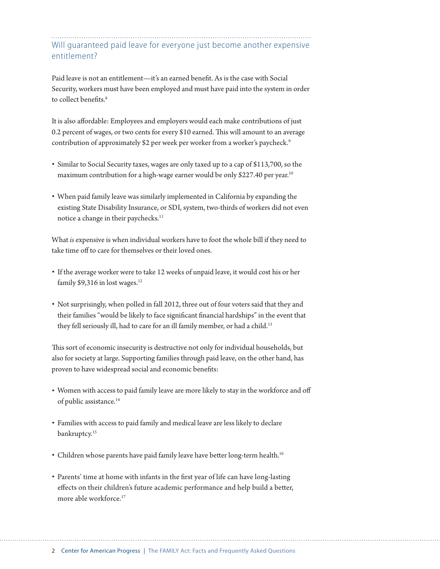Will guaranteed paid leave for everyone just become another expensive entitlement?

Paid leave is not an entitlement—it's an earned benefit. As is the case with Social Security, workers must have been employed and must have paid into the system in order to collect benefits.<sup>8</sup>

It is also affordable: Employees and employers would each make contributions of just 0.2 percent of wages, or two cents for every \$10 earned. This will amount to an average contribution of approximately \$2 per week per worker from a worker's paycheck.<sup>9</sup>

- Similar to Social Security taxes, wages are only taxed up to a cap of \$113,700, so the maximum contribution for a high-wage earner would be only \$227.40 per year.<sup>10</sup>
- When paid family leave was similarly implemented in California by expanding the existing State Disability Insurance, or SDI, system, two-thirds of workers did not even notice a change in their paychecks.<sup>11</sup>

What *is* expensive is when individual workers have to foot the whole bill if they need to take time off to care for themselves or their loved ones.

- If the average worker were to take 12 weeks of unpaid leave, it would cost his or her family  $$9,316$  in lost wages.<sup>12</sup>
- Not surprisingly, when polled in fall 2012, three out of four voters said that they and their families "would be likely to face significant financial hardships" in the event that they fell seriously ill, had to care for an ill family member, or had a child.<sup>13</sup>

This sort of economic insecurity is destructive not only for individual households, but also for society at large. Supporting families through paid leave, on the other hand, has proven to have widespread social and economic benefits:

- Women with access to paid family leave are more likely to stay in the workforce and off of public assistance.14
- Families with access to paid family and medical leave are less likely to declare bankruptcy.<sup>15</sup>
- Children whose parents have paid family leave have better long-term health.<sup>16</sup>
- Parents' time at home with infants in the first year of life can have long-lasting effects on their children's future academic performance and help build a better, more able workforce.<sup>17</sup>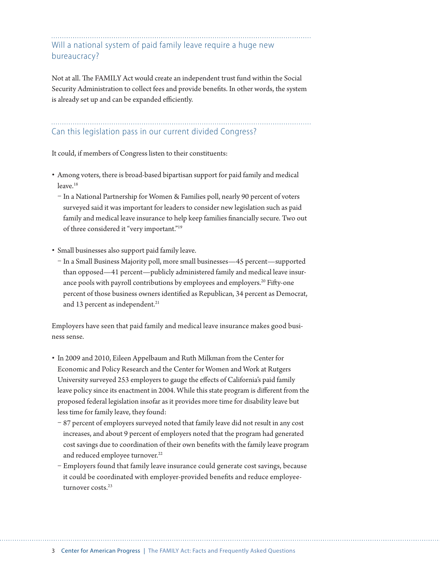Will a national system of paid family leave require a huge new bureaucracy?

Not at all. The FAMILY Act would create an independent trust fund within the Social Security Administration to collect fees and provide benefits. In other words, the system is already set up and can be expanded efficiently.

### Can this legislation pass in our current divided Congress?

It could, if members of Congress listen to their constituents:

- Among voters, there is broad-based bipartisan support for paid family and medical leave.<sup>18</sup>
	- In a National Partnership for Women & Families poll, nearly 90 percent of voters surveyed said it was important for leaders to consider new legislation such as paid family and medical leave insurance to help keep families financially secure. Two out of three considered it "very important."19
- Small businesses also support paid family leave.
	- In a Small Business Majority poll, more small businesses—45 percent—supported than opposed—41 percent—publicly administered family and medical leave insurance pools with payroll contributions by employees and employers.<sup>20</sup> Fifty-one percent of those business owners identified as Republican, 34 percent as Democrat, and 13 percent as independent.<sup>21</sup>

Employers have seen that paid family and medical leave insurance makes good business sense.

- In 2009 and 2010, Eileen Appelbaum and Ruth Milkman from the Center for Economic and Policy Research and the Center for Women and Work at Rutgers University surveyed 253 employers to gauge the effects of California's paid family leave policy since its enactment in 2004. While this state program is different from the proposed federal legislation insofar as it provides more time for disability leave but less time for family leave, they found:
	- 87 percent of employers surveyed noted that family leave did not result in any cost increases, and about 9 percent of employers noted that the program had generated cost savings due to coordination of their own benefits with the family leave program and reduced employee turnover.<sup>22</sup>
	- Employers found that family leave insurance could generate cost savings, because it could be coordinated with employer-provided benefits and reduce employeeturnover costs.<sup>23</sup>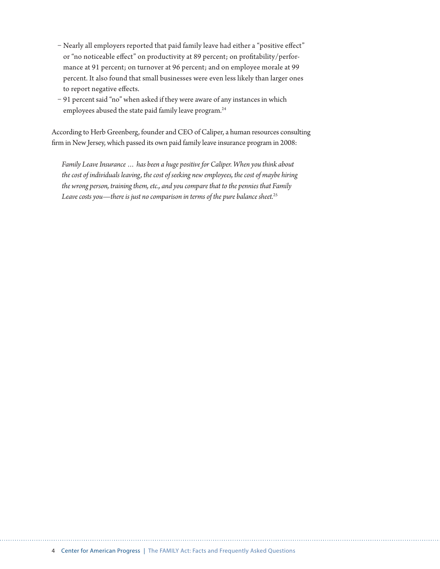- Nearly all employers reported that paid family leave had either a "positive effect" or "no noticeable effect" on productivity at 89 percent; on profitability/performance at 91 percent; on turnover at 96 percent; and on employee morale at 99 percent. It also found that small businesses were even less likely than larger ones to report negative effects.
- 91 percent said "no" when asked if they were aware of any instances in which employees abused the state paid family leave program.<sup>24</sup>

According to Herb Greenberg, founder and CEO of Caliper, a human resources consulting firm in New Jersey, which passed its own paid family leave insurance program in 2008:

*Family Leave Insurance … has been a huge positive for Caliper. When you think about the cost of individuals leaving, the cost of seeking new employees, the cost of maybe hiring the wrong person, training them, etc., and you compare that to the pennies that Family Leave costs you—there is just no comparison in terms of the pure balance sheet.*25